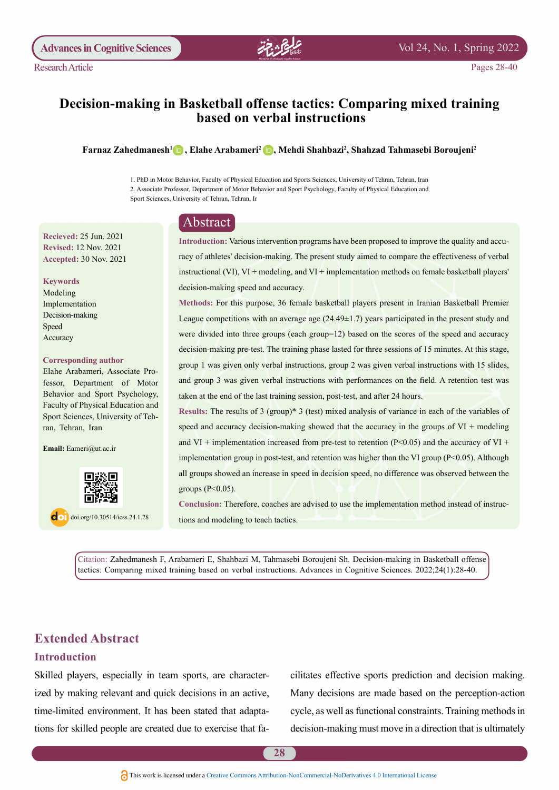

Pages 28-40

# **Decision-making in Basketball offense tactics: Comparing mixed training based on verbal instructions**

#### **2Shahbazi Mehdi [, 2](http://orcid.org/0000-0001-5948-7288)Arabameri Elahe [, 1](http://orcid.org/0000-0003-0936-3556)Zahedmanesh Farnaz 2Boroujeni Tahmasebi Shahzad ,**

1. PhD in Motor Behavior, Faculty of Physical Education and Sports Sciences, University of Tehran, Tehran, Iran 2. Associate Professor, Department of Motor Behavior and Sport Psychology, Faculty of Physical Education and Sport Sciences, University of Tehran, Tehran, Ir

# Abstract

**Recieved: 25 Jun. 2021 Revised: 12 Nov. 2021** Accepted: 30 Nov. 2021

#### **Keywords**

Modeling Implementation Decision-making Speed Accuracy

#### **Corresponding author**

fessor, Department of Motor Elahe Arabameri, Associate Pro-Behavior and Sport Psychology, Faculty of Physical Education and Sport Sciences, University of Teh-<br>ran, Tehran, Iran

Email: Eameri@ut.ac.ir



 $\log$  doi.org/10.30514/icss.24.1.28

racy of athletes' decision-making. The present study aimed to compare the effectiveness of verbal Introduction: Various intervention programs have been proposed to improve the quality and accuinstructional (VI), VI + modeling, and VI + implementation methods on female basketball players' decision-making speed and accuracy.

Methods: For this purpose, 36 female basketball players present in Iranian Basketball Premier League competitions with an average age  $(24.49\pm 1.7)$  years participated in the present study and were divided into three groups (each group= $12$ ) based on the scores of the speed and accuracy decision-making pre-test. The training phase lasted for three sessions of 15 minutes. At this stage, group 1 was given only verbal instructions, group 2 was given verbal instructions with  $15$  slides, and group 3 was given verbal instructions with performances on the field. A retention test was taken at the end of the last training session, post-test, and after 24 hours.

Results: The results of 3 (group)\* 3 (test) mixed analysis of variance in each of the variables of speed and accuracy decision-making showed that the accuracy in the groups of  $VI$  + modeling and VI + implementation increased from pre-test to retention ( $P<0.05$ ) and the accuracy of VI + implementation group in post-test, and retention was higher than the VI group  $(P<0.05)$ . Although all groups showed an increase in speed in decision speed, no difference was observed between the groups  $(P<0.05)$ .

Conclusion: Therefore, coaches are advised to use the implementation method instead of instructions and modeling to teach tactics.

Citation: Zahedmanesh F, Arabameri E, Shahbazi M, Tahmasebi Boroujeni Sh. Decision-making in Basketball offense tactics: Comparing mixed training based on verbal instructions. Advances in Cognitive Sciences. 2022;24(1):28-40.

# **Extended Abstract**

# **Introduction**

ized by making relevant and quick decisions in an active, Skilled players, especially in team sports, are charactertions for skilled people are created due to exercise that fatime-limited environment. It has been stated that adaptacilitates effective sports prediction and decision making. Many decisions are made based on the perception-action cycle, as well as functional constraints. Training methods in decision-making must move in a direction that is ultimately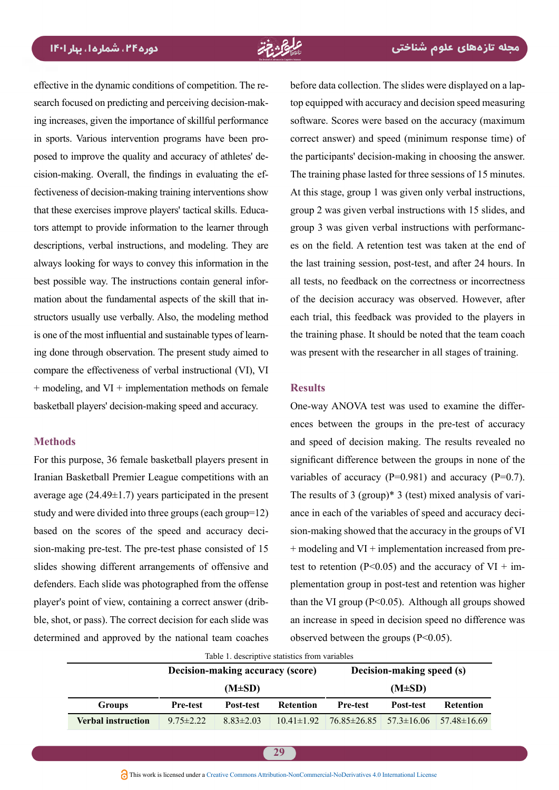search focused on predicting and perceiving decision-making increases, given the importance of skillful performance effective in the dynamic conditions of competition. The research focused on predicting and perceiving decision-makfectiveness of decision-making training interventions show cision-making. Overall, the findings in evaluating the efposed to improve the quality and accuracy of athletes' dein sports. Various intervention programs have been protors attempt to provide information to the learner through that these exercises improve players' tactical skills. Educadescriptions, verbal instructions, and modeling. They are always looking for ways to convey this information in the structors usually use verbally. Also, the modeling method mation about the fundamental aspects of the skill that inbest possible way. The instructions contain general inforing done through observation. The present study aimed to is one of the most influential and sustainable types of learncompare the effectiveness of verbal instructional (VI), VI  $+$  modeling, and VI  $+$  implementation methods on female basketball players' decision-making speed and accuracy.

### **Methods**

For this purpose, 36 female basketball players present in Iranian Basketball Premier League competitions with an average age  $(24.49±1.7)$  years participated in the present study and were divided into three groups (each group =  $12$ ) sion-making pre-test. The pre-test phase consisted of 15 based on the scores of the speed and accuracy decislides showing different arrangements of offensive and defenders. Each slide was photographed from the offense ble, shot, or pass). The correct decision for each slide was player's point of view, containing a correct answer (dribdetermined and approved by the national team coaches

before data collection. The slides were displayed on a lap-<br>top equipped with accuracy and decision speed measuring software. Scores were based on the accuracy (maximum correct answer) and speed (minimum response time) of the participants' decision-making in choosing the answer. The training phase lasted for three sessions of 15 minutes. At this stage, group 1 was given only verbal instructions, group 2 was given verbal instructions with 15 slides, and es on the field. A retention test was taken at the end of group 3 was given verbal instructions with performancthe last training session, post-test, and after 24 hours. In all tests, no feedback on the correctness or incorrectness of the decision accuracy was observed. However, after each trial, this feedback was provided to the players in the training phase. It should be noted that the team coach was present with the researcher in all stages of training.

# **Results**

ences between the groups in the pre-test of accuracy One-way ANOVA test was used to examine the differand speed of decision making. The results revealed no significant difference between the groups in none of the variables of accuracy  $(P=0.981)$  and accuracy  $(P=0.7)$ . ance in each of the variables of speed and accuracy decision-making showed that the accuracy in the groups of VI The results of 3 (group)\* 3 (test) mixed analysis of variance in each of the variables of speed and accuracy decitest to retention ( $P < 0.05$ ) and the accuracy of VI + im-<br>plementation group in post-test and retention was higher + modeling and VI + implementation increased from pretest to retention (P<0.05) and the accuracy of VI + imthan the VI group ( $P \le 0.05$ ). Although all groups showed an increase in speed in decision speed no difference was observed between the groups  $(P<0.05)$ .

| Table 1. descriptive statistics from variables |                                  |                 |                  |                                    |             |                    |  |  |
|------------------------------------------------|----------------------------------|-----------------|------------------|------------------------------------|-------------|--------------------|--|--|
|                                                | Decision-making accuracy (score) |                 |                  | Decision-making speed (s)          |             |                    |  |  |
|                                                |                                  | $(M\pm SD)$     |                  |                                    | $(M\pm SD)$ |                    |  |  |
| <b>Groups</b>                                  | <b>Pre-test</b>                  | Post-test       | <b>Retention</b> | <b>Pre-test</b>                    | Post-test   | <b>Retention</b>   |  |  |
| <b>Verbal instruction</b>                      | $9.75 \pm 2.22$                  | $8.83 \pm 2.03$ | $10.41 \pm 1.92$ | $76.85 \pm 26.85$ $57.3 \pm 16.06$ |             | $157.48 \pm 16.69$ |  |  |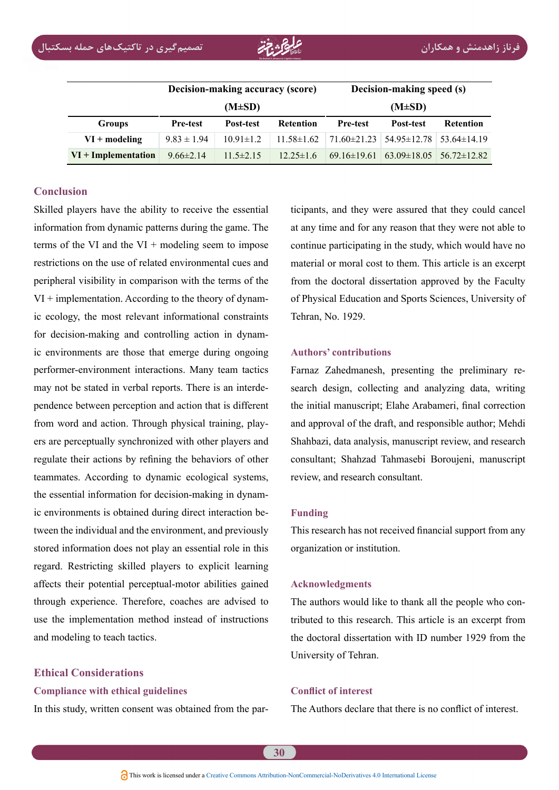|                       | Decision-making accuracy (score) |                 |                  | Decision-making speed (s) |                                                   |                  |  |
|-----------------------|----------------------------------|-----------------|------------------|---------------------------|---------------------------------------------------|------------------|--|
|                       |                                  | $(M\pm SD)$     |                  | $(M\pm SD)$               |                                                   |                  |  |
| <b>Groups</b>         | <b>Pre-test</b>                  | Post-test       | <b>Retention</b> | <b>Pre-test</b>           | Post-test                                         | <b>Retention</b> |  |
| $VI + modeling$       | $9.83 \pm 1.94$                  | $10.91 \pm 1.2$ | $11.58 \pm 1.62$ |                           | $71.60\pm21.23$ 54.95 $\pm12.78$ 53.64 $\pm14.19$ |                  |  |
| $VI + Implementation$ | $9.66 \pm 2.14$                  | $11.5 \pm 2.15$ | $12.25 \pm 1.6$  | $69.16 \pm 19.61$         | $63.09\pm18.05$ $56.72\pm12.82$                   |                  |  |

# **Conclusion**

Skilled players have the ability to receive the essential information from dynamic patterns during the game. The terms of the VI and the VI + modeling seem to impose restrictions on the use of related environmental cues and peripheral visibility in comparison with the terms of the ic ecology, the most relevant informational constraints  $VI$  + implementation. According to the theory of dynamic environments are those that emerge during ongoing for decision-making and controlling action in dynamperformer-environment interactions. Many team tactics pendence between perception and action that is different may not be stated in verbal reports. There is an interdeers are perceptually synchronized with other players and from word and action. Through physical training, playregulate their actions by refining the behaviors of other teammates. According to dynamic ecological systems, tween the individual and the environment, and previously ic environments is obtained during direct interaction bethe essential information for decision-making in dynamstored information does not play an essential role in this regard. Restricting skilled players to explicit learning affects their potential perceptual-motor abilities gained through experience. Therefore, coaches are advised to use the implementation method instead of instructions and modeling to teach tactics.

# **Ethical Considerations**

### **Compliance with ethical guidelines**

In this study, written consent was obtained from the par-

at any time and for any reason that they were not able to continue participating in the study, which would have no material or moral cost to them. This article is an excerpt from the doctoral dissertation approved by the Faculty of Physical Education and Sports Sciences, University of Tehran, No. 1929.

#### **contributions' Authors**

icipants, and they were assured that they could cancel<br>
a any time and for any reason that they were not able to<br>
continue participating in the study, which would have no<br>
material or moral cost to them. This article is an search design, collecting and analyzing data, writing Farnaz Zahedmanesh, presenting the preliminary rethe initial manuscript; Elahe Arabameri, final correction and approval of the draft, and responsible author; Mehdi Shahbazi, data analysis, manuscript review, and research consultant; Shahzad Tahmasebi Boroujeni, manuscript review, and research consultant.

### **Funding**

This research has not received financial support from any organization or institution.

#### **Acknowledgments**

tributed to this research. This article is an excerpt from The authors would like to thank all the people who conthe doctoral dissertation with ID number 1929 from the University of Tehran.

## **Conflict of interest**

The Authors declare that there is no conflict of interest.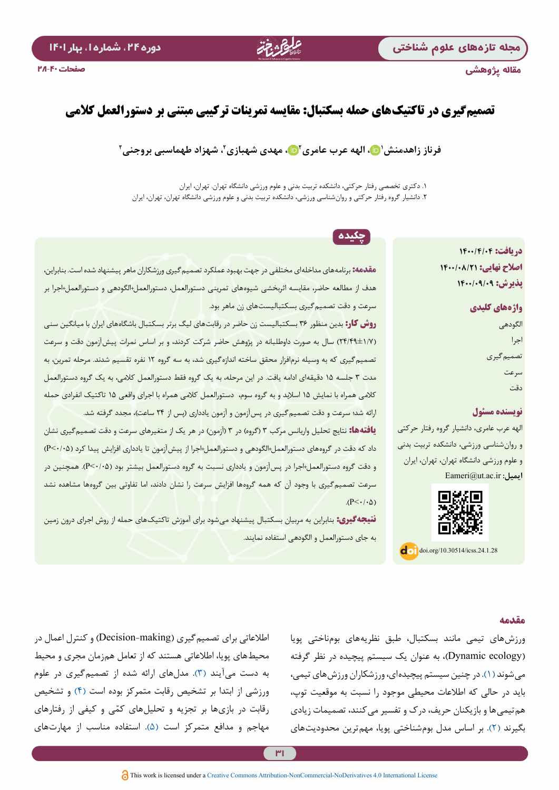مقاله پژوهشی

# دوره ۲۴، شماره ا، بهار ۱۴۰۱

# **تصمیمگیری در تاکتیکهای حمله بسکتبال: مقایسه تمرینات ترکیبی مبتنی بر دستورالعمل کالمی**

# فرناز زاهدمنش'۞، الهه عرب عامری'۞، مهدی شهبازی'، شهزاد طهماسبی بروجنی'

.1 دکتری تخصصی رفتار حرکتی، دانشکده تربیت بدنی و علوم ورزشی دانشگاه تهران. تهران، ایران .2 دانشیار گروه رفتار حرکتی و روانشناسی ورزشی، دانشکده تربیت بدنی و علوم ورزشی دانشگاه تهران، تهران، ایران

# **دریافت: 1400/4/04 اصالح نهایی: 1400/08/21 پذیرش: 1400/09/09**

**واژههای کلیدی** الگودهی اجرا تصمیمگیری سرعت دقت

### **نویسنده مسئول**

الهه عرب عامری، دانشیار گروه رفتار حرکتی و روانشناسی ورزشی، دانشکده تربیت بدنی و علوم ورزشی دانشگاه تهران، تهران، ایران **ایمیل:** ir.ac.ut@Eameri



 $\overline{d}$  .  $\overline{d}$   $\overline{d}$   $\overline{d}$   $\overline{d}$   $\overline{d}$   $\overline{d}$   $\overline{d}$   $\overline{d}$   $\overline{d}$   $\overline{d}$   $\overline{d}$   $\overline{d}$   $\overline{d}$   $\overline{d}$   $\overline{d}$   $\overline{d}$   $\overline{d}$   $\overline{d}$   $\overline{d}$   $\overline{d}$   $\overline{d}$   $\overline{d}$   $\overline{d}$   $\over$ 

# چکیده

**مقدمه:** برنامههای مداخلهای مختلفي در جهت بهبود عملکرد تصمیمگیری ورزشکاران ماهر پیشنهاد شده است. بنابراین، هدف از مطالعه حاضر، مقایسه اثربخشی شیوههای تمرینی دستورالعمل، دستورالعمل+الگودهی و دستورالعمل+اجرا بر سرعت و دقت تصمیمگیری بسکتبالیستهای زن ماهر بود.

**روش کار:** بدین منظور 36 بسکتبالیست زن حاضر در رقابتهای لیگ برتر بسکتبال باشگاههای ایران با میانگین سنی )24/49±1/7( سال به صورت داوطلبانه در پژوهش حاضر شرکت کردند، و بر اساس نمرات پیشآزمون دقت و سرعت تصمیمگیری که به وسیله نرمافزار محقق ساخته اندازهگیری شد، به سه گروه 12 نفره تقسیم شدند. مرحله تمرین، به مدت 3 جلسه 15 دقیقهای ادامه یافت. در این مرحله، به یک گروه فقط دستورالعمل کالمی، به یک گروه دستورالعمل کالمی همراه با نمایش 15 اسالید و به گروه سوم، دستورالعمل کالمی همراه با اجرای واقعی 15 تاکتیک انفرادی حمله ارائه شد؛ سرعت و دقت تصمیم گیری در پس آزمون و آزمون یادداری (پس از ۲۴ ساعت)، مجدد گرفته شد. **یافتهها:** نتایج تحلیل واریانس مرکب ۳ (گروه) در ۳ (آزمون) در هر یک از متغیرهای سرعت و دقت تصمیمگیری نشان داد که دقت در گروههای دستورالعمل+الگودهی و دستورالعمل+اجرا از پیشآزمون تا یادداری افزایش پیدا کرد )0/05<P ) و دقت گروه دستورالعمل+اجرا در پسآزمون و یادداری نسبت به گروه دستورالعمل بیشتر بود )0/05<P). همچنین در سرعت تصمیمگیری با وجود آن که همه گروهها افزایش سرعت را نشان دادند، اما تفاوتی بین گروهها مشاهده نشد  $(P<\cdot/\cdot \Delta)$ 

**نتیجهگیری:** بنابراین به مربیان بسکتبال پیشنهاد میشود برای آموزش تاکتیکهای حمله از روش اجرای درون زمین به جای دستورالعمل و الگودهی استفاده نمایند.

### **مقدمه**

ورزشهای تیمی مانند بسکتبال، طبق نظریههای بومناختی پویا )ecology Dynamic)، به عنوان یک سیستم پیچیده در نظر گرفته میشوند [\)1\(](#page-11-0). در چنین سیستم پیچیدهای، ورزشکاران ورزشهای تیمی، باید در حالی که اطالعات محیطی موجود را نسبت به موقعیت توپ، همتیمیها و بازیکنان حریف، درک و تفسیر میکنند، تصمیمات زیادی بگیرند )[2](#page-11-1)(. بر اساس مدل بومشناختی پویا، مهمترین محدودیتهای

اطلاعاتی برای تصمیم گیری (Decision-making) و کنترل اعمال در محیطهای پویا، اطالعاتی هستند که از تعامل همزمان مجری و محیط به دست میآیند [\)3\(](#page-11-2). مدلهای ارائه شده از تصمیمگیری در علوم ورزشی از ابتدا بر تشخیص رقابت متمرکز بوده است [\)4\(](#page-11-3) و تشخیص رقابت در بازیها بر تجزیه و تحلیل های کمّی و کیفی از رفتارهای مهاجم و مدافع متمرکز است )[5](#page-11-4)(. استفاده مناسب از مهارتهای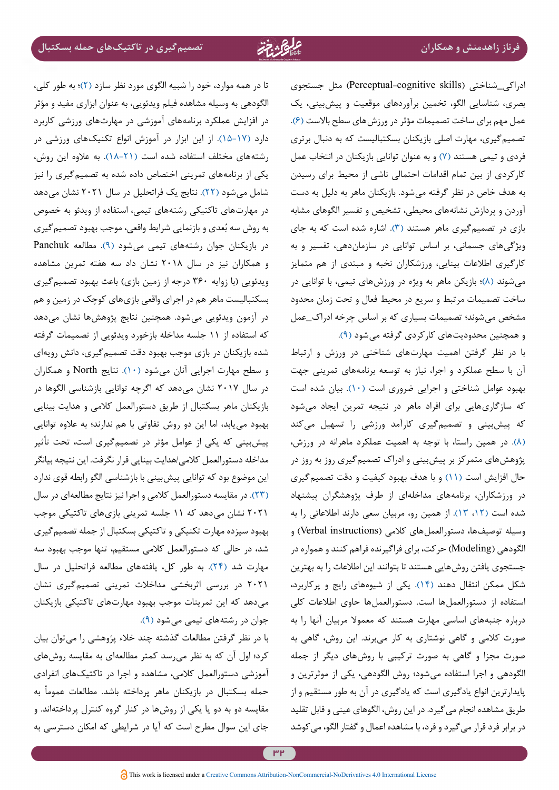ادراکی\_شناختی )skills cognitive-Perceptual )مثل جستجوی بصری، شناسایی الگو، تخمین برآوردهای موقعیت و پیشبینی، یک عمل مهم برای ساخت تصمیمات مؤثر در ورزشهای سطح باالست [\)6](#page-11-5)(. تصمیمگیری، مهارت اصلی بازیکنان بسکتبالیست که به دنبال برتری فردی و تیمی هستند )[7](#page-11-6)( و به عنوان توانایی بازیکنان در انتخاب عمل کارکردی از بین تمام اقدامات احتمالی ناشی از محیط برای رسیدن به هدف خاص در نظر گرفته میشود. بازیکنان ماهر به دلیل به دست آوردن و پردازش نشانههای محیطی، تشخیص و تفسیر الگوهای مشابه بازی در تصمیمگیری ماهر هستند )[3](#page-11-2)(. اشاره شده است که به جای ویژگیهای جسمانی، بر اساس توانایی در سازماندهی، تفسیر و به کارگیری اطالعات بینایی، ورزشکاران نخبه و مبتدی از هم متمایز میشوند )[8](#page-11-7)(؛ بازیکن ماهر به ویژه در ورزشهای تیمی، با توانایی در ساخت تصمیمات مرتبط و سریع در محیط فعال و تحت زمان محدود مشخص میشوند؛ تصمیمات بسیاری که بر اساس چرخه ادراک\_عمل و همچنین محدودیتهای کارکردی گرفته میشود [\)9\(](#page-11-8).

با در نظر گرفتن اهمیت مهارتهای شناختی در ورزش و ارتباط آن با سطح عملکرد و اجرا، نیاز به توسعه برنامههای تمرینی جهت بهبود عوامل شناختی و اجرایی ضروری است )[10\(](#page-11-9). بیان شده است که سازگاریهایی برای افراد ماهر در نتیجه تمرین ایجاد میشود که پیشبینی و تصمیمگیری کارآمد ورزشی را تسهیل میکند [\)8\(](#page-11-7). در همین راستا، با توجه به اهمیت عملکرد ماهرانه در ورزش، پژوهشهای متمرکز بر پیشبینی و ادراک تصمیمگیری روز به روز در حال افزایش است [\)11\(](#page-11-10) و با هدف بهبود کیفیت و دقت تصمیمگیری در ورزشکاران، برنامههای مداخلهای از طرف پژوهشگران پیشنهاد شده است )،[12](#page-11-12) [13](#page-11-11)(. از همین رو، مربیان سعی دارند اطالعاتی را به وسیله توصیفها، دستورالعملهای کلامی (Verbal instructions) و الگودهی )Modeling )حرکت، برای فراگیرنده فراهم کنند و همواره در جستجوی یافتن روشهایی هستند تا بتوانند این اطالعات را به بهترین شکل ممکن انتقال دهند )[14](#page-11-13)(. یکی از شیوههای رایج و پرکاربرد، استفاده از دستورالعملها است. دستورالعملها حاوی اطالعات کلی درباره جنبههای اساسی مهارت هستند که معموال مربیان آنها را به صورت کالمی و گاهی نوشتاری به کار میبرند. این روش، گاهی به صورت مجزا و گاهی به صورت ترکیبی با روشهای دیگر از جمله الگودهی و اجرا استفاده میشود؛ روش الگودهی، یکی از موثرترین و پایدارترین انواع یادگیری است که یادگیری در آن به طور مستقیم و از طریق مشاهده انجام میگیرد. در این روش، الگوهای عینی و قابل تقلید در برابر فرد قرار میگیرد و فرد، با مشاهده اعمال و گفتار الگو، میکوشد

تا در همه موارد، خود را شبیه الگوی مورد نظر سازد )[2\(](#page-11-1)؛ به طور کلی، الگودهی به وسیله مشاهده فیلم ویدئویی، به عنوان ابزاری مفید و مؤثر در افزایش عملكرد برنامههای آموزشی در مهارتهای ورزشی كاربرد دارد )[15](#page-11-14)[-](#page-11-15)[17](#page-11-16)[\(](#page-11-14). از این ابزار در آموزش انواع تکنیکهای ورزشی در رشتههای مختلف استفاده شده است [\)](#page-12-1)[18](#page-11-17)[-](#page-12-0)[21](#page-12-1)(. به عالوه این روش، یکی از برنامههای تمرینی اختصاص داده شده به تصمیمگیری را نیز شامل میشود [\)22\(](#page-12-2). نتایج یک فراتحلیل در سال 2021 نشان میدهد در مهارتهای تاکتیکی رشتههای تیمی، استفاده از ویدئو به خصوص به روش سه بُعدی و بازنمایی شرایط واقعی، موجب بهبود تصمیم گیری در بازیکنان جوان رشتههای تیمی میشود [\)9\(](#page-11-8). مطالعه Panchuk و همکاران نیز در سال 2018 نشان داد سه هفته تمرین مشاهده ویدئویی )با زوایه 360 درجه از زمین بازی( باعث بهبود تصمیمگیری بسکتبالیست ماهر هم در اجرای واقعی بازیهای کوچک در زمین و هم در آزمون ویدئویی میشود. همچنین نتایج پژوهشها نشان میدهد که استفاده از 11 جلسه مداخله بازخورد ویدئویی از تصمیمات گرفته شده بازیکنان در بازی موجب بهبود دقت تصمیمگیری، دانش رویهای و سطح مهارت اجرایی آنان میشود )[10](#page-11-9)(. نتایج North و همکاران در سال 2017 نشان میدهد که اگرچه توانایی بازشناسی الگوها در بازیکنان ماهر بسکتبال از طریق دستورالعمل کالمی و هدایت بینایی بهبود مییابد، اما این دو روش تفاوتی با هم ندارند؛ به عالوه توانایی پیشبینی که یکی از عوامل مؤثر در تصمیمگیری است، تحت تأثیر مداخله دستورالعمل کالمی/هدایت بینایی قرار نگرفت. این نتیجه بیانگر این موضوع بود که توانایی پیشبینی با بازشناسی الگو رابطه قوی ندارد )[23\(](#page-12-3). در مقایسه دستورالعمل کالمی و اجرا نیز نتایج مطالعهای در سال 2021 نشان میدهد که 11 جلسه تمرینی بازیهای تاکتیکی موجب بهبود سیزده مهارت تکنیکی و تاکتیکی بسکتبال از جمله تصمیمگیری شد، در حالی که دستورالعمل کالمی مستقیم، تنها موجب بهبود سه مهارت شد )[24](#page-12-4)(. به طور کل، یافتههای مطالعه فراتحلیل در سال 2021 در بررسی اثربخشی مداخالت تمرینی تصمیمگیری نشان میدهد که این تمرینات موجب بهبود مهارتهای تاکتیکی بازیکنان جوان در رشتههای تیمی میشود [\)9\(](#page-11-8).

با در نظر گرفتن مطالعات گذشته چند خالء پژوهشی را میتوان بیان کرد؛ اول آن که به نظر میرسد کمتر مطالعهای به مقایسه روشهای آموزشی دستورالعمل کالمی، مشاهده و اجرا در تاکتیکهای انفرادی حمله بسکتبال در بازیکنان ماهر پرداخته باشد. مطالعات عمومأ به مقایسه دو به دو یا یکی از روشها در کنار گروه کنترل پرداختهاند. و جای این سوال مطرح است که آیا در شرایطی که امکان دسترسی به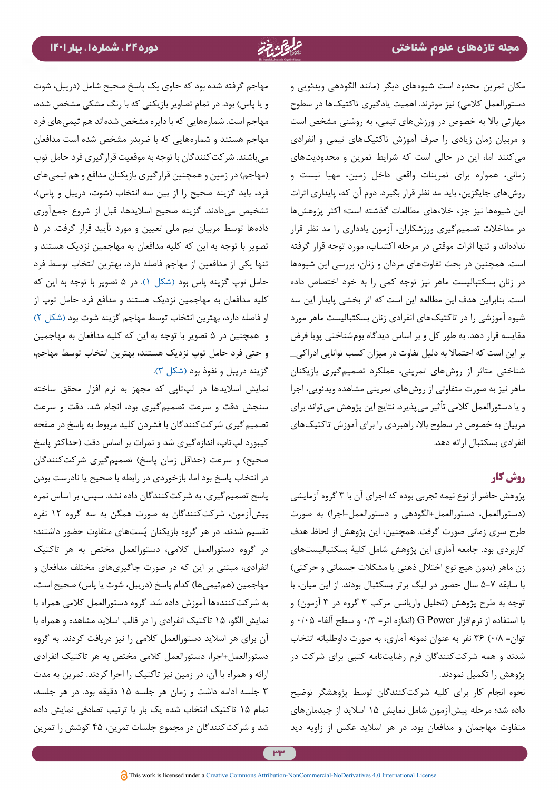مکان تمرین محدود است شیوههای دیگر )مانند الگودهی ویدئویی و دستورالعمل کلامی) نیز موثرند. اهمیت یادگیری تاکتیکها در سطوح مهارتی باال به خصوص در ورزشهای تیمی، به روشنی مشخص است و مربیان زمان زیادی را صرف آموزش تاکتیکهای تیمی و انفرادی میکنند اما، این در حالی است که شرایط تمرین و محدودیتهای زمانی، همواره برای تمرینات واقعی داخل زمین، مهیا نیست و روشهای جایگزین، باید مد نظر قرار بگیرد. دوم آن که، پایداری اثرات این شیوهها نیز جزء خالءهای مطالعات گذشته است؛ اکثر پژوهشها در مداخالت تصمیمگیری ورزشکاران، آزمون یادداری را مد نظر قرار ندادهاند و تنها اثرات موقتی در مرحله اکتساب، مورد توجه قرار گرفته است. همچنین در بحث تفاوتهای مردان و زنان، بررسی این شیوهها در زنان بسکتبالیست ماهر نیز توجه کمی را به خود اختصاص داده است. بنابراین هدف این مطالعه این است که اثر بخشی پایدار این سه شیوه آموزشی را در تاکتیکهای انفرادی زنان بسکتبالیست ماهر مورد مقایسه قرار دهد. به طور کل و بر اساس دیدگاه بومشناختی پویا فرض بر این است که احتماال به دلیل تفاوت در میزان کسب توانایی ادراکی\_ شناختی متاثر از روشهای تمرینی، عملکرد تصمیمگیری بازیکنان ماهر نیز به صورت متفاوتی از روشهای تمرینی مشاهده ویدئویی، اجرا و یا دستورالعمل کالمی تأثیر میپذیرد. نتایج این پژوهش میتواند برای مربیان به خصوص در سطوح باال، راهبردی را برای آموزش تاکتیکهای انفرادی بسکتبال ارائه دهد.

# **روش کار**

پژوهش حاضر از نوع نیمه تجربی بوده که اجرای آن با 3 گروه آزمایشی )دستورالعمل، دستورالعمل+الگودهی و دستورالعمل+اجرا( به صورت طرح سری زمانی صورت گرفت. همچنین، این پژوهش از لحاظ هدف کاربردی بود. جامعه آماری این پژوهش شامل کلیۀ بسکتبالیستهای زن ماهر (بدون هیچ نوع اختلال ذهنی یا مشکلات جسمانی و حرکتی) با سابقه 5-7 سال حضور در لیگ برتر بسکتبال بودند. از این میان، با توجه به طرح پژوهش (تحلیل واریانس مرکب ۳ گروه در ۳ آزمون) و با استفاده از نرمافزار Power G( اندازه اثر= 0/3 و سطح آلفا= 0/05 و توان= 0/8( 36 نفر به عنوان نمونه آماری، به صورت داوطلبانه انتخاب شدند و همه شرکتکنندگان فرم رضایتنامه کتبی برای شرکت در پژوهش را تکمیل نمودند.

نحوه انجام کار برای کلیه شرکتکنندگان توسط پژوهشگر توضیح داده شد؛ مرحله پیشآزمون شامل نمایش 15 اسالید از چیدمانهای متفاوت مهاجمان و مدافعان بود. در هر اسالید عکس از زاویه دید

مهاجم گرفته شده بود که حاوی یک پاسخ صحیح شامل )دریبل، شوت و یا پاس) بود. در تمام تصاویر بازیکنی که با رنگ مشکی مشخص شده، مهاجم است. شمارههایی که با دایره مشخص شدهاند هم تیمیهای فرد مهاجم هستند و شمارههایی که با ضربدر مشخص شده است مدافعان میباشند. شرکتکنندگان با توجه به موقعیت قرارگیری فرد حامل توپ (مهاجم) در زمین و همچنین قرارگیری بازیکنان مدافع و هم تیمیهای فرد، باید گزینه صحیح را از بین سه انتخاب (شوت، دریبل و پاس)، تشخیص میدادند. گزینه صحیح اسالیدها، قبل از شروع جمعآوری دادهها توسط مربیان تیم ملی تعیین و مورد تأیید قرار گرفت. در 5 تصویر با توجه به این که کلیه مدافعان به مهاجمین نزدیک هستند و تنها یکی از مدافعین از مهاجم فاصله دارد، بهترین انتخاب توسط فرد حامل توپ گزینه پاس بود [\)شکل 1](#page-6-0)(. در 5 تصویر با توجه به این که کلیه مدافعان به مهاجمین نزدیک هستند و مدافع فرد حامل توپ از او فاصله دارد، بهترین انتخاب توسط مهاجم گزینه شوت بود [\)شکل 2](#page-6-1)( و همچنین در 5 تصویر با توجه به این که کلیه مدافعان به مهاجمین و حتی فرد حامل توپ نزدیک هستند، بهترین انتخاب توسط مهاجم، گزینه دریبل و نفوذ بود )[شکل 3\(](#page-7-0).

نمایش اسالیدها در لپتاپی که مجهز به نرم افزار محقق ساخته سنجش دقت و سرعت تصمیمگیری بود، انجام شد. دقت و سرعت تصمیمگیری شرکتکنندگان با فشردن کلید مربوط به پاسخ در صفحه کیبورد لپتاپ، اندازهگیری شد و نمرات بر اساس دقت )حداکثر پاسخ صحیح) و سرعت (حداقل زمان پاسخ) تصمیمگیری شرکتکنندگان در انتخاب پاسخ بود اما، بازخوردی در رابطه با صحیح یا نادرست بودن پاسخ تصمیمگیری، به شرکتکنندگان داده نشد. سپس، بر اساس نمره پیشآزمون، شرکتکنندگان به صورت همگن به سه گروه 12 نفره تقسیم شدند. در هر گروه بازیکنان پُستهای متفاوت حضور داشتند؛ در گروه دستورالعمل کالمی، دستورالعمل مختص به هر تاکتیک انفرادی، مبتنی بر این که در صورت جاگیریهای مختلف مدافعان و مهاجمین (هم تیمی ها) کدام پاسخ (دریبل، شوت یا پاس) صحیح است، به شرکتکنندهها آموزش داده شد. گروه دستورالعمل کالمی همراه با نمایش الگو، 15 تاکتیک انفرادی را در قالب اسالید مشاهده و همراه با آن برای هر اسالید دستورالعمل کالمی را نیز دریافت کردند. به گروه دستورالعمل+اجرا، دستورالعمل کالمی مختص به هر تاکتیک انفرادی ارائه و همراه با آن، در زمین نیز تاکتیک را اجرا کردند. تمرین به مدت 3 جلسه ادامه داشت و زمان هر جلسه 15 دقیقه بود. در هر جلسه، تمام 15 تاکتیک انتخاب شده یک بار با ترتیب تصادفی نمایش داده شد و شرکتکنندگان در مجموع جلسات تمرین، 45 کوشش را تمرین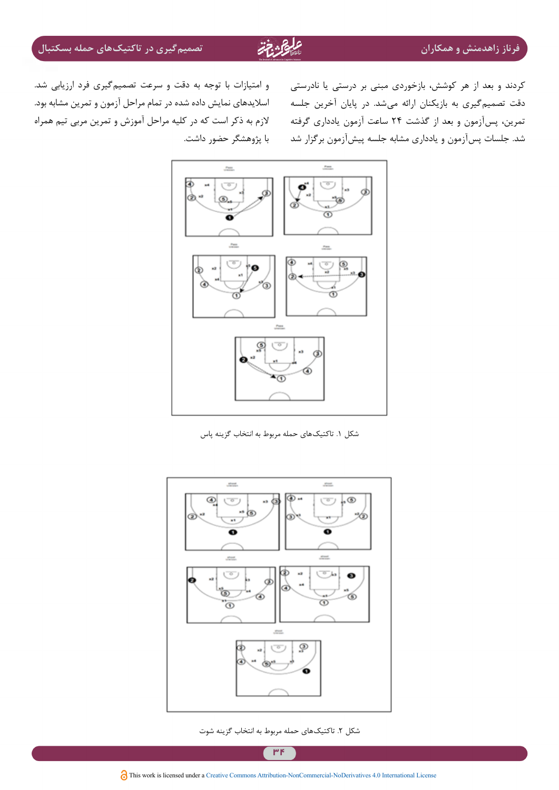کردند و بعد از هر کوشش، بازخوردی مبنی بر درستی یا نادرستی دقت تصمیمگیری به بازیکنان ارائه میشد. در پایان آخرین جلسه شد. جلسات پسآزمون و یادداری مشابه جلسه پیشآزمون برگزار شد

نمرین، پسآزمون و بعد از گذشت ۲۴ ساعت آزمون یادداری گرفته مسلازم به ذکر است که در کلیه مراحل آموزش و تمرین مربی تیم همراه و امتیازات با توجه به دقت و سرعت تصمیمگیری فرد ارزیابی شد. اسالیدهای نمایش داده شده در تمام مراحل آزمون و تمرین مشابه بود. با پژوهشگر حضور داشت.



<span id="page-6-0"></span>شکل .1 تاکتیکهای حمله مربوط به انتخاب گزینه پاس



شکل ۲. تاکتیکهای حمله مربوط به انتخاب گزینه شوت

<span id="page-6-1"></span> $\mathsf{P}$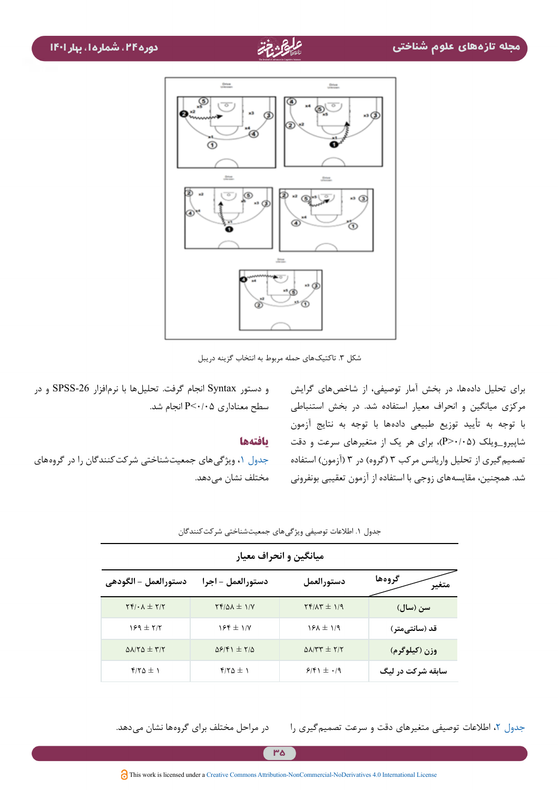

شکل .3 تاکتیکهای حمله مربوط به انتخاب گزینه دریبل

و دستور Syntax انجام گرفت. تحلیلها با نرمافزار -26SPSS و در سطح معناداری 0/05<P انجام شد.

### **یافتهها**

[جدول ،1](#page-7-1) ویژگیهای جمعیتشناختی شرکتکنندگان را در گروههای مختلف نشان مے دهد.

<span id="page-7-1"></span><span id="page-7-0"></span>برای تحلیل دادهها، در بخش آمار توصیفی، از شاخصهای گرایش مرکزی میانگین و انحراف معیار استفاده شد. در بخش استنباطی با توجه به تأیید توزیع طبیعی دادهها با توجه به نتایج آزمون شاپیرو\_ویلک )0/05>P)، برای هر یک از متغیرهای سرعت و دقت تصمیم گیری از تحلیل واریانس مرکب ۳ (گروه) در ۳ (آزمون) استفاده شد. همچنین، مقایسههای زوجی با استفاده از آزمون تعقیبی بونفرونی

| میانگین و انحراف معیار                           |                                                          |                           |                   |  |  |  |
|--------------------------------------------------|----------------------------------------------------------|---------------------------|-------------------|--|--|--|
| دستورالعمل – الگودهي                             | دستورالعمل - اجرا                                        | دستورالعمل                | گروهها            |  |  |  |
| $\Upsilon f/\cdot \Lambda \pm \Upsilon/\Upsilon$ | $Yf/\Delta\lambda \pm 1/Y$                               | $Yf/\Lambda T \pm 1/9$    | سن (سال)          |  |  |  |
| $159 \pm 77$                                     | $155 \pm 1/8$                                            | $15\lambda \pm 1/9$       | قد (سانتیٖمتر)    |  |  |  |
| $\Delta\lambda/\tau\Delta\pm\tau/\tau$           | $\Delta \mathcal{S}/\mathcal{F}$ + $\pm$ $\gamma/\Delta$ | $\Delta\lambda$ /٣٣ ± ٢/٢ | وزن (کیلوگرم)     |  |  |  |
| $f/\gamma \Delta \pm 1$                          | $f/\gamma \Delta \pm 1$                                  | $9/51 \pm .19$            | سابقه شرکت در لیگ |  |  |  |

جدول ١. اطلاعات توصیفی ویژگیهای جمعیتشناختی شرکت کنندگان

[جدول](#page-8-0) ۲، اطلاعات توصیفی متغیرهای دقت و سرعت تصمیم گیری را در مراحل مختلف برای گروهها نشان میدهد.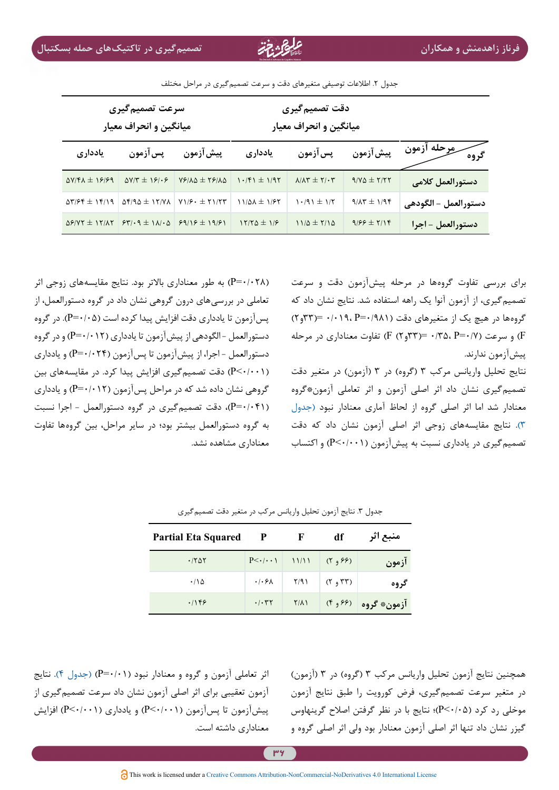|                       | دقت تصميم گيري<br>میانگین و انحراف معیار |                                                        |                        | سرعت تصميمگيري<br>میانگین و انحراف معیار |                                                            |                                                          |
|-----------------------|------------------------------------------|--------------------------------------------------------|------------------------|------------------------------------------|------------------------------------------------------------|----------------------------------------------------------|
| سرورحله ازمون<br>گروه | پيش آزمون                                | پس آزمون                                               | يادداري                | پيش آزمون                                | پس آزمون                                                   | يادداري                                                  |
| دستورالعمل كلامى      | $9/40 \pm 7/57$                          | $\Lambda/\Lambda \Upsilon \pm \Upsilon/\cdot \Upsilon$ | $1.181 \pm 1.197$      | $YY/\lambda\Delta \pm YY/\lambda\Delta$  | $\Delta V/T = 191.9$                                       | $\Delta V/F\Lambda \pm 19199$                            |
| دستورالعمل – الگودهي  | $9/\lambda r \pm 1/96$                   | $1.791 \pm 1/5$                                        | $11/2\lambda \pm 1/57$ |                                          | $\Delta f/9\Delta \pm 17/4\Delta$ $\Delta f/6 + \pm 71/77$ | $\Delta \mathbf{Y}/\mathbf{F}$ + $\mathbf{Y}/\mathbf{Y}$ |
| دستورالعمل - اجرا     | $9/55 \pm 7/15$                          | $11/\Delta \pm 7/1\Delta$                              | $17/70 \pm 1/9$        |                                          | $\Delta$ ۶/ΥΥ ± ١٢/٨٢   ۶٣/٠٩ ± ١٨/٠۵   ۶٩/١۶ ± ١٩/۶١      |                                                          |

جدول ۲. اطلاعات توصیفی متغیرهای دقت و سرعت تصمیم گیری در مراحل مختلف

)0/028=P )به طور معناداری باالتر بود. نتایج مقایسههای زوجی اثر تعاملی در بررسیهای درون گروهی نشان داد در گروه دستورالعمل، از پسآزمون تا یادداری دقت افزایش پیدا کرده است )0/05=P). در گروه دستورالعمل - الگودهی از پیشآزمون تا یادداری )0/012=P )و در گروه دستورالعمل - اجرا، از پیشآزمون تا پسآزمون )0/024=P )و یادداری )0/001<P )دقت تصمیمگیری افزایش پیدا کرد. در مقایسههای بین گروهی نشان داده شد که در مراحل پسآزمون )0/012=P )و یادداری )0/041=P)، دقت تصمیمگیری در گروه دستورالعمل - اجرا نسبت به گروه دستورالعمل بیشتر بود؛ در سایر مراحل، بین گروهها تفاوت معناداری مشاهده نشد.

<span id="page-8-0"></span>برای بررسی تفاوت گروهها در مرحله پیشآزمون دقت و سرعت تصمیمگیری، از آزمون آنوا یک راهه استفاده شد. نتایج نشان داد که گروهها در هیچ یک از متغیرهای دقت (۹۸۱/۹=۲۴۳=۰/۰۱۹، =(۳۳و۲) و سرعت (۶/ ۲۳و۲) (F (۲ ) و CF ) و سرعت (۶/ ۲۳و۲) قفاوت معناداری در مرحله (F پیشآزمون ندارند.

<span id="page-8-1"></span>نتایج تحلیل واریانس مرکب ۳ (گروه) در ۳ (آزمون) در متغیر دقت تصمیمگیری نشان داد اثر اصلی آزمون و اثر تعاملی آزمون\*گروه معنادار شد اما اثر اصلی گروه از لحاظ آماری معنادار نبود )[جدول](#page-8-1) [3\(](#page-8-1). نتایج مقایسههای زوجی اثر اصلی آزمون نشان داد که دقت تصمیمگیری در یادداری نسبت به پیشآزمون )0/001<P )و اکتساب

| <b>Partial Eta Squared</b> | P                                                | F                       | df      | منبع اثر             |
|----------------------------|--------------------------------------------------|-------------------------|---------|----------------------|
| .7807                      | $P<-(\cdot)$ $\setminus$ $\setminus$ $\setminus$ |                         | (Y, 95) | ازمون                |
| $\cdot$ / \ $\Delta$       | $\cdot$ / $\cdot$ $\theta$ $\wedge$              | $\mathsf{Y}/\mathsf{Y}$ | (1, 1)  | گروه                 |
| .1189                      | $\cdot$ / $\cdot$ $\uparrow$ $\uparrow$          | $Y/\lambda$             |         | آزمون* گروه (۶۶ و ۴) |

جدول ٣. نتایج آزمون تحلیل واریانس مرکب در متغیر دقت تصمیم گیری

اثر تعاملی آزمون و گروه و معنادار نبود [\(](#page-9-0)P=۰/۰۱) (جدول ۴). نتایج آزمون تعقیبی برای اثر اصلی آزمون نشان داد سرعت تصمیمگیری از پیشآزمون تا پسآزمون (P<۰/۰۰۱) و یادداری (P<۰/۰۰۱) افزایش معناداری داشته است.

همچنین نتایج آزمون تحلیل واریانس مرکب ۳ (گروه) در ۳ (آزمون) در متغیر سرعت تصمیمگیری، فرض کورویت را طبق نتایج آزمون موخلی رد کرد )0/05<P)؛ نتایج با در نظر گرفتن اصالح گرینهاوس گیزر نشان داد تنها اثر اصلی آزمون معنادار بود ولی اثر اصلی گروه و

<u>۳۶</u>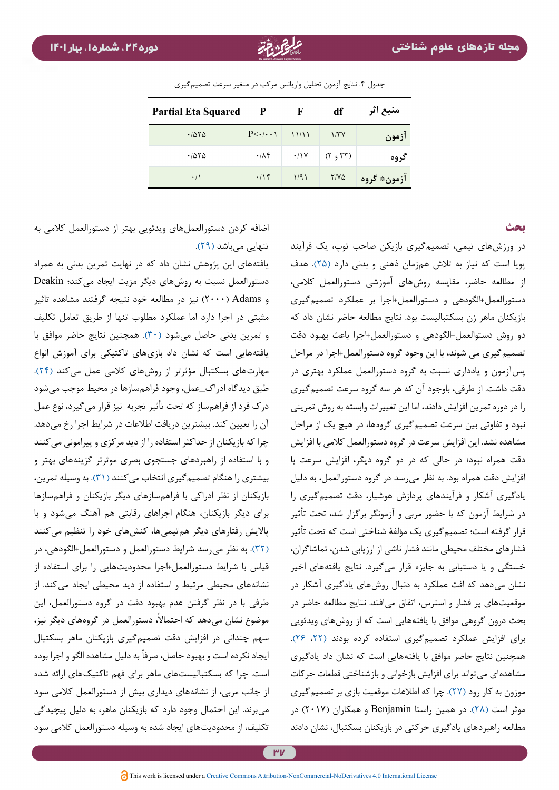| <b>Partial Eta Squared</b> | P                    | F                              | df                              | منبع اثر    |
|----------------------------|----------------------|--------------------------------|---------------------------------|-------------|
| .7070                      | $P<\cdot/\cdot\cdot$ | $\left  \frac{11}{11} \right $ | 1/TY                            | ازمون       |
| .7870                      | $\cdot$ / $\wedge$ ۴ | $\cdot/1$ Y                    | $(Y, \mathcal{Y}, \mathcal{Y})$ | گروه        |
| $\cdot/$                   | .195                 | 1/91                           | $Y/Y\Delta$                     | ازمون* گروه |

جدول .4 نتایج آزمون تحلیل واریانس مرکب در متغیر سرعت تصمیمگیری

#### <span id="page-9-0"></span>**بحث**

در ورزشهای تیمی، تصمیمگیری بازیکن صاحب توپ، یک فرآیند پویا است که نیاز به تالش همزمان ذهنی و بدنی دارد )[25\(](#page-12-5). هدف از مطالعه حاضر، مقایسه روشهای آموزشی دستورالعمل کالمی، دستورالعمل+الگودهی و دستورالعمل+اجرا بر عملکرد تصمیمگیری بازیکنان ماهر زن بسکتبالیست بود. نتایج مطالعه حاضر نشان داد که دو روش دستوالعمل+الگودهی و دستورالعمل+اجرا باعث بهبود دقت تصمیمگیری می شوند، با این وجود گروه دستورالعمل+اجرا در مراحل پسآزمون و یادداری نسبت به گروه دستورالعمل عملکرد بهتری در دقت داشت. از طرفی، باوجود آن که هر سه گروه سرعت تصمیمگیری را در دوره تمرین افزایش دادند، اما این تغییرات وابسته به روش تمرینی نبود و تفاوتی بین سرعت تصمیمگیری گروهها، در هیچ یک از مراحل مشاهده نشد. این افزایش سرعت در گروه دستورالعمل کالمی با افزایش دقت همراه نبود؛ در حالی که در دو گروه دیگر، افزایش سرعت با افزایش دقت همراه بود. به نظر میرسد در گروه دستورالعمل، به دلیل یادگیری آشکار و فرآیندهای پردازش هوشیار، دقت تصمیمگیری را در شرایط آزمون که با حضور مربی و آزمونگر برگزار شد، تحت تأثیر قرار گرفته است؛ تصمیمگیری یک مؤلفۀ شناختی است که تحت تأثیر فشارهای مختلف محیطی مانند فشار ناشی از ارزیابی شدن، تماشاگران، خستگی و یا دستیابی به جایزه قرار میگیرد. نتایج یافتههای اخیر نشان میدهد که افت عملکرد به دنبال روشهای یادگیری آشکار در موقعیتهای پر فشار و استرس، اتفاق میافتد. نتایج مطالعه حاضر در بحث درون گروهی موافق با یافتههایی است که از روشهای ویدئویی برای افزایش عملکرد تصمیمگیری استفاده کرده بودند )[،22](#page-12-2) [26](#page-12-6)(. همچنین نتایج حاضر موافق با یافتههایی است که نشان داد یادگیری مشاهدهای میتواند برای افزایش بازخوانی و بازشناختی قطعات حرکات موزون به کار رود )[27\(](#page-12-7). چرا که اطالعات موقعیت بازی بر تصمیمگیری موثر است [\)28\(](#page-12-8). در همین راستا Benjamin و همکاران )2017( در مطالعه راهبردهای یادگیری حرکتی در بازیکنان بسکتبال، نشان دادند

اضافه کردن دستورالعملهای ویدئویی بهتر از دستورالعمل کالمی به تنهایی میباشد (۲۹).

یافتههای این پژوهش نشان داد که در نهایت تمرین بدنی به همراه دستورالعمل نسبت به روشهای دیگر مزیت ایجاد می کند؛ Deakin و Adams( 2000 )نیز در مطالعه خود نتیجه گرفتند مشاهده تاثیر مثبتی در اجرا دارد اما عملکرد مطلوب تنها از طریق تعامل تکلیف و تمرین بدنی حاصل میشود )[30\(](#page-12-10). همچنین نتایج حاضر موافق با یافتههایی است که نشان داد بازیهای تاکتیکی برای آموزش انواع مهارتهای بسکتبال مؤثرتر از روشهای کالمی عمل میکند [\)24\(](#page-12-4). طبق دیدگاه ادراک\_عمل، وجود فراهمسازها در محیط موجب میشود درک فرد از فراهمساز که تحت تأثیر تجربه نیز قرار میگیرد، نوع عمل آن را تعیین کند. بیشترین دریافت اطالعات در شرایط اجرا رخ میدهد. چرا که بازیکنان از حداکثر استفاده را از دید مرکزی و پیرامونی میکنند و با استفاده از راهبردهای جستجوی بصری موثرتر گزینههای بهتر و بیشتری را هنگام تصمیم گیری انتخاب می کنند (۳۱). به وسیله تمرین، بازیکنان از نظر ادراکی با فراهمسازهای دیگر بازیکنان و فراهمسازها برای دیگر بازیکنان، هنگام اجراهای رقابتی هم آهنگ میشود و با پاالیش رفتارهای دیگر همتیمیها، کنشهای خود را تنظیم میکنند [\)32\(](#page-12-12). به نظر میرسد شرایط دستورالعمل و دستورالعمل+الگودهی، در قیاس با شرایط دستورالعمل+اجرا محدودیتهایی را برای استفاده از نشانههای محیطی مرتبط و استفاده از دید محیطی ایجاد میکند. از طرفی با در نظر گرفتن عدم بهبود دقت در گروه دستورالعمل، این موضوع نشان میدهد که احتمالاً، دستورالعمل در گروههای دیگر نیز، سهم چندانی در افزایش دقت تصمیمگیری بازیکنان ماهر بسکتبال ایجاد نکرده است و بهبود حاصل، صرفأ به دلیل مشاهده الگو و اجرا بوده است. چرا که بسکتبالیستهای ماهر برای فهم تاکتیکهای ارائه شده از جانب مربی، از نشانههای دیداری بیش از دستورالعمل کالمی سود میبرند. این احتمال وجود دارد که بازیکنان ماهر، به دلیل پیچیدگی تکلیف، از محدودیتهای ایجاد شده به وسیله دستورالعمل کالمی سود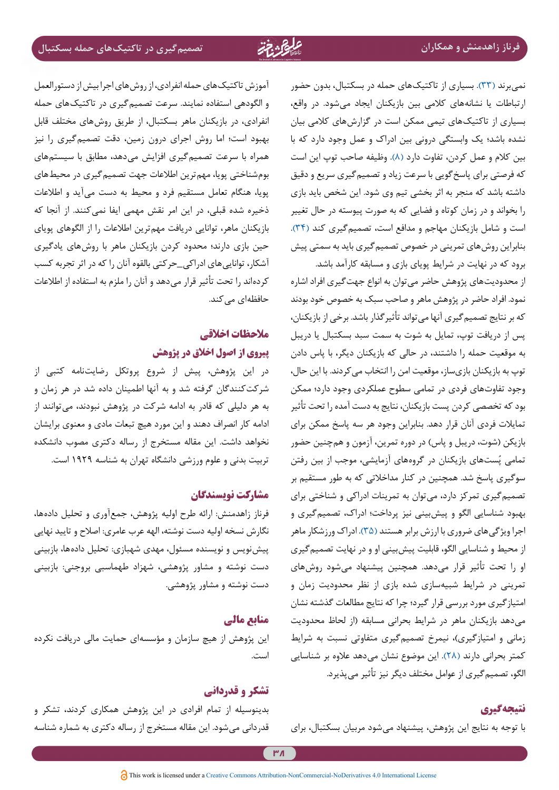نمیبرند [\)33](#page-12-13)(. بسیاری از تاکتیکهای حمله در بسکتبال، بدون حضور ارتباطات یا نشانههای کالمی بین بازیکنان ایجاد میشود. در واقع، بسیاری از تاکتیکهای تیمی ممکن است در گزارشهای کالمی بیان نشده باشد؛ یک وابستگی درونی بین ادراک و عمل وجود دارد که با بین کالم و عمل کردن، تفاوت دارد )[8](#page-11-7)(. وظیفه صاحب توپ این است که فرصتی برای پاسخگویی با سرعت زیاد و تصمیمگیری سریع و دقیق داشته باشد که منجر به اثر بخشی تیم وی شود. این شخص باید بازی را بخواند و در زمان کوتاه و فضایی که به صورت پیوسته در حال تغییر است و شامل بازیکنان مهاجم و مدافع است، تصمیم گیری کند (۳۴). بنابراین روشهای تمرینی در خصوص تصمیمگیری باید به سمتی پیش برود که در نهایت در شرایط پویای بازی و مسابقه کارآمد باشد.

از محدودیتهای پژوهش حاضر میتوان به انواع جهتگیری افراد اشاره نمود. افراد حاضر در پژوهش ماهر و صاحب سبک به خصوص خود بودند که بر نتایج تصمیمگیری آنها میتواند تأثیرگذار باشد. برخی از بازیکنان، پس از دریافت توپ، تمایل به شوت به سمت سبد بسکتبال یا دریبل به موقعیت حمله را داشتند، در حالی که بازیکنان دیگر، با پاس دادن توپ به بازیکنان بازیساز، موقعیت امن را انتخاب میکردند. با این حال، وجود تفاوتهای فردی در تمامی سطوح عملکردی وجود دارد؛ ممکن بود که تخصصی کردن پست بازیکنان، نتایج به دست آمده را تحت تأثیر تمایالت فردی آنان قرار دهد. بنابراین وجود هر سه پاسخ ممکن برای بازیکن (شوت، دریبل و پاس) در دوره تمرین، آزمون و همچنین حضور ُستهای بازیکنان در گروههای آزمایشی، موجب از بین رفتن تمامی پ سوگیری پاسخ شد. همچنین در کنار مداخالتی که به طور مستقیم بر تصمیمگیری تمرکز دارد، میتوان به تمرینات ادراکی و شناختی برای بهبود شناسایی الگو و پیشبینی نیز پرداخت؛ ادراک، تصمیمگیری و اجرا ویژگیهای ضروری با ارزش برابر هستند )[35\(](#page-12-15). ادراک ورزشکار ماهر از محیط و شناسایی الگو، قابلیت پیشبینی او و در نهایت تصمیمگیری او را تحت تأثیر قرار میدهد. همچنین پیشنهاد میشود روشهای تمرینی در شرایط شبیهسازی شده بازی از نظر محدودیت زمان و امتیازگیری مورد بررسی قرار گیرد؛ چرا که نتایج مطالعات گذشته نشان میدهد بازیکنان ماهر در شرایط بحرانی مسابقه )از لحاظ محدودیت زمانی و امتیازگیری)، نیمرخ تصمیمگیری متفاوتی نسبت به شرایط کمتر بحرانی دارند )[28\(](#page-12-8). این موضوع نشان میدهد عالوه بر شناسایی الگو، تصمیمگیری از عوامل مختلف دیگر نیز تأثیر میپذیرد.

## **نتیجهگیری**

با توجه به نتایج این پژوهش، پیشنهاد میشود مربیان بسکتبال، برای

آموزش تاکتیکهای حمله انفرادی، از روشهای اجرا بیش از دستورالعمل و الگودهی استفاده نمایند. سرعت تصمیمگیری در تاکتیکهای حمله انفرادی، در بازیکنان ماهر بسکتبال، از طریق روشهای مختلف قابل بهبود است؛ اما روش اجرای درون زمین، دقت تصمیمگیری را نیز همراه با سرعت تصمیمگیری افزایش میدهد، مطابق با سیستمهای بومشناختی پویا، مهمترین اطالعات جهت تصمیمگیری در محیطهای پویا، هنگام تعامل مستقیم فرد و محیط به دست میآید و اطالعات ذخیره شده قبلی، در این امر نقش مهمی ایفا نمی کنند. از آنجا که بازیکنان ماهر، توانایی دریافت مهمترین اطالعات را از الگوهای پویای حین بازی دارند؛ محدود کردن بازیکنان ماهر با روشهای یادگیری آشکار، تواناییهای ادراکی\_حرکتی بالقوه آنان را که در اثر تجربه کسب کردهاند را تحت تأثیر قرار میدهد و آنان را ملزم به استفاده از اطالعات حافظهای می کند.

# **مالحظات اخالقی**

# **پیروی از اصول اخالق در پژوهش**

در این پژوهش، پیش از شروع پروتکل رضایتنامه کتبی از شرکتکنندگان گرفته شد و به آنها اطمینان داده شد در هر زمان و به هر دلیلی که قادر به ادامه شرکت در پژوهش نبودند، میتوانند از ادامه کار انصراف دهند و این مورد هیچ تبعات مادی و معنوی برایشان نخواهد داشت. این مقاله مستخرج از رساله دکتری مصوب دانشکده تربیت بدنی و علوم ورزشی دانشگاه تهران به شناسه 1929 است.

## **مشارکت نویسندگان**

فرناز زاهدمنش: ارائه طرح اولیه پژوهش، جمعآوری و تحلیل دادهها، نگارش نسخه اولیه دست نوشته، الهه عرب عامری: اصالح و تایید نهایی پیشنویس و نویسنده مسئول، مهدی شهبازی: تحلیل دادهها، بازبینی دست نوشته و مشاور پژوهشی، شهزاد طهماسبی بروجنی: بازبینی دست نوشته و مشاور پژوهشی.

## **منابع مالی**

این پژوهش از هیچ سازمان و مؤسسهای حمایت مالی دریافت نکرده است.

# **تشکر و قدردانی**

بدینوسیله از تمام افرادی در این پژوهش همکاری کردند، تشکر و قدردانی میشود. این مقاله مستخرج از رساله دکتری به شماره شناسه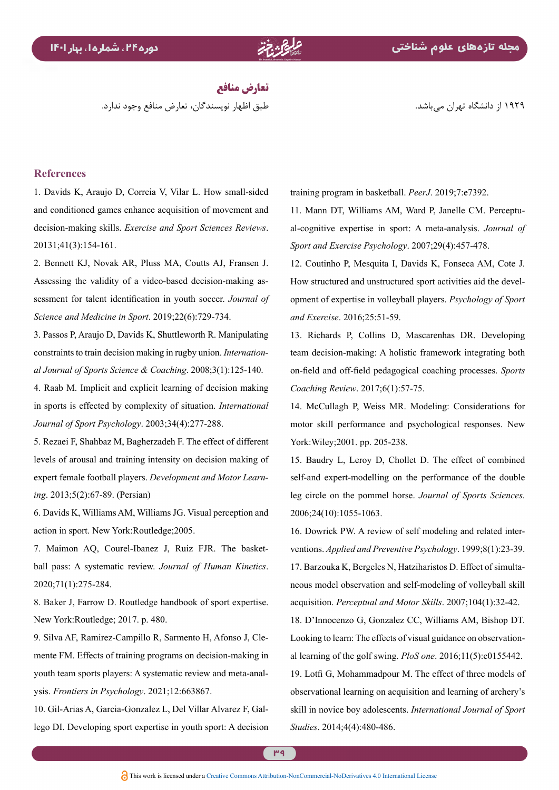**تعارض منافع** طبق اظهار نویسندگان، تعارض منافع وجود ندارد.

1929 از دانشگاه تهران میباشد.

#### **References**

<span id="page-11-0"></span>1. Davids K. Araujo D. Correia V. Vilar L. How small-sided and conditioned games enhance acquisition of movement and decision-making skills. *Exercise and Sport Sciences Reviews*. 20131:41(3):154-161.

<span id="page-11-1"></span>2. Bennett KJ, Novak AR, Pluss MA, Coutts AJ, Fransen J. sessment for talent identification in youth soccer. Journal of Assessing the validity of a video-based decision-making as-Science and Medicine in Sport. 2019;22(6):729-734.

<span id="page-11-2"></span>3. Passos P, Araujo D, Davids K, Shuttleworth R. Manipulating al Journal of Sports Science & Coaching. 2008;3(1):125-140. constraints to train decision making in rugby union. *Internation*-

<span id="page-11-3"></span>4. Raab M. Implicit and explicit learning of decision making in sports is effected by complexity of situation. *International* Journal of Sport Psychology. 2003;34(4):277-288.

<span id="page-11-4"></span>5. Rezaei F, Shahbaz M, Bagherzadeh F. The effect of different levels of arousal and training intensity on decision making of expert female football players. *Development and Motor Learn-*<br>*ing*. 2013;5(2):67-89. (Persian)

<span id="page-11-5"></span>6. Davids K, Williams AM, Williams JG. Visual perception and action in sport. New York: Routledge: 2005.

<span id="page-11-6"></span>ball pass: A systematic review. Journal of Human Kinetics. 7. Maimon AQ, Courel-Ibanez J, Ruiz FJR. The basket-2020;71(1):275-284.

<span id="page-11-7"></span>8. Baker J, Farrow D. Routledge handbook of sport expertise. New York: Routledge; 2017. p. 480.

<span id="page-11-8"></span>9. Silva AF, Ramirez-Campillo R, Sarmento H, Afonso J, Clemente FM. Effects of training programs on decision-making in youth team sports players: A systematic review and meta-anal-<br>ysis. *Frontiers in Psychology*. 2021;12:663867.

<span id="page-11-9"></span>lego DI. Developing sport expertise in youth sport: A decision 10. Gil-Arias A, Garcia-Gonzalez L, Del Villar Alvarez F, Galtraining program in basketball. *PeerJ*. 2019:7:e7392.

<span id="page-11-10"></span>al-cognitive expertise in sport: A meta-analysis. Journal of 11. Mann DT, Williams AM, Ward P, Janelle CM. Perceptu-Sport and Exercise Psychology. 2007;29(4):457-478.

<span id="page-11-12"></span>12. Coutinho P. Mesquita I. Davids K. Fonseca AM. Cote J. opment of expertise in volleyball players. Psychology of Sport How structured and unstructured sport activities aid the develand *Exercise*, 2016:25:51-59.

<span id="page-11-11"></span>13. Richards P, Collins D, Mascarenhas DR. Developing team decision-making: A holistic framework integrating both on-field and off-field pedagogical coaching processes. Sports Coaching Review. 2017;6(1):57-75.

<span id="page-11-13"></span>14. McCullagh P, Weiss MR. Modeling: Considerations for motor skill performance and psychological responses. New York: Wiley: 2001. pp. 205-238.

<span id="page-11-14"></span>15. Baudry L, Leroy D, Chollet D. The effect of combined self-and expert-modelling on the performance of the double leg circle on the pommel horse. Journal of Sports Sciences. 2006;24(10):1055-1063.

<span id="page-11-16"></span><span id="page-11-15"></span>ventions. Applied and Preventive Psychology. 1999;8(1):23-39. 16. Dowrick PW. A review of self modeling and related interneous model observation and self-modeling of volleyball skill 17. Barzouka K, Bergeles N, Hatziharistos D. Effect of simultaacquisition. *Perceptual and Motor Skills*. 2007;104(1):32-42.

<span id="page-11-17"></span>18. D'Innocenzo G, Gonzalez CC, Williams AM, Bishop DT. al learning of the golf swing.  $P$ loS one.  $2016$ ; $11(5)$ ; $e$  $0155442$ . Looking to learn: The effects of visual guidance on observation-19. Lotfi G, Mohammadpour M. The effect of three models of observational learning on acquisition and learning of archery's skill in novice boy adolescents. International Journal of Sport Studies. 2014;4(4):480-486.